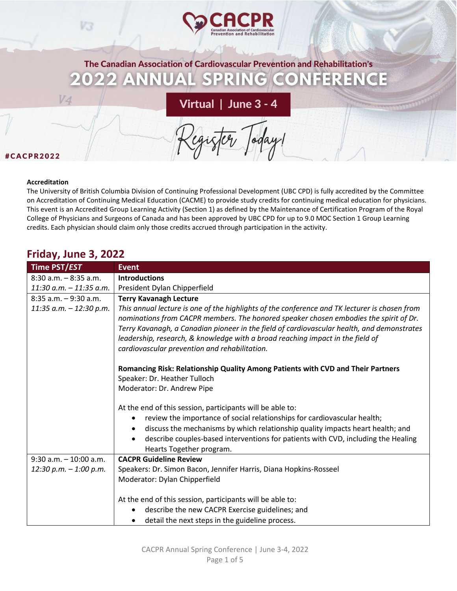

The Canadian Association of Cardiovascular Prevention and Rehabilitation's PRII CONFERENCE AV  $\vert S \vert$  $N(G)$ 

Virtual | June 3 - 4

#### #CACPR2022

#### **Accreditation**

V4

The University of British Columbia Division of Continuing Professional Development (UBC CPD) is fully accredited by the Committee on Accreditation of Continuing Medical Education (CACME) to provide study credits for continuing medical education for physicians. This event is an Accredited Group Learning Activity (Section 1) as defined by the Maintenance of Certification Program of the Royal College of Physicians and Surgeons of Canada and has been approved by UBC CPD for up to 9.0 MOC Section 1 Group Learning credits. Each physician should claim only those credits accrued through participation in the activity.

## **Friday, June 3, 2022**

V3

| Time PST/EST               | <b>Event</b>                                                                                                                                                                                                                                                                                                                                                                                                            |
|----------------------------|-------------------------------------------------------------------------------------------------------------------------------------------------------------------------------------------------------------------------------------------------------------------------------------------------------------------------------------------------------------------------------------------------------------------------|
| $8:30$ a.m. $-8:35$ a.m.   | <b>Introductions</b>                                                                                                                                                                                                                                                                                                                                                                                                    |
| $11:30$ a.m. $-11:35$ a.m. | President Dylan Chipperfield                                                                                                                                                                                                                                                                                                                                                                                            |
| $8:35$ a.m. $-9:30$ a.m.   | <b>Terry Kavanagh Lecture</b>                                                                                                                                                                                                                                                                                                                                                                                           |
| $11:35$ a.m. $-12:30$ p.m. | This annual lecture is one of the highlights of the conference and TK lecturer is chosen from<br>nominations from CACPR members. The honored speaker chosen embodies the spirit of Dr.<br>Terry Kavanagh, a Canadian pioneer in the field of cardiovascular health, and demonstrates<br>leadership, research, & knowledge with a broad reaching impact in the field of<br>cardiovascular prevention and rehabilitation. |
|                            | Romancing Risk: Relationship Quality Among Patients with CVD and Their Partners                                                                                                                                                                                                                                                                                                                                         |
|                            | Speaker: Dr. Heather Tulloch                                                                                                                                                                                                                                                                                                                                                                                            |
|                            | Moderator: Dr. Andrew Pipe                                                                                                                                                                                                                                                                                                                                                                                              |
|                            | At the end of this session, participants will be able to:<br>review the importance of social relationships for cardiovascular health;<br>discuss the mechanisms by which relationship quality impacts heart health; and<br>describe couples-based interventions for patients with CVD, including the Healing<br>Hearts Together program.                                                                                |
| $9:30$ a.m. $-10:00$ a.m.  | <b>CACPR Guideline Review</b>                                                                                                                                                                                                                                                                                                                                                                                           |
| $12:30 p.m. - 1:00 p.m.$   | Speakers: Dr. Simon Bacon, Jennifer Harris, Diana Hopkins-Rosseel<br>Moderator: Dylan Chipperfield                                                                                                                                                                                                                                                                                                                      |
|                            | At the end of this session, participants will be able to:                                                                                                                                                                                                                                                                                                                                                               |
|                            | describe the new CACPR Exercise guidelines; and                                                                                                                                                                                                                                                                                                                                                                         |
|                            | detail the next steps in the guideline process.                                                                                                                                                                                                                                                                                                                                                                         |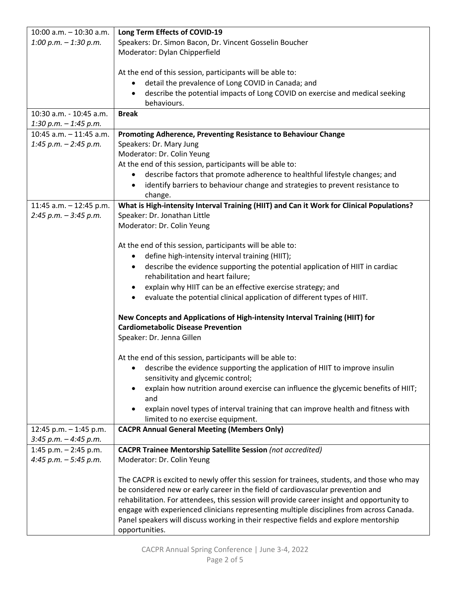| $10:00$ a.m. $-10:30$ a.m. | Long Term Effects of COVID-19                                                                                                   |
|----------------------------|---------------------------------------------------------------------------------------------------------------------------------|
| 1:00 p.m. $-$ 1:30 p.m.    | Speakers: Dr. Simon Bacon, Dr. Vincent Gosselin Boucher                                                                         |
|                            | Moderator: Dylan Chipperfield                                                                                                   |
|                            |                                                                                                                                 |
|                            | At the end of this session, participants will be able to:                                                                       |
|                            | detail the prevalence of Long COVID in Canada; and                                                                              |
|                            | describe the potential impacts of Long COVID on exercise and medical seeking                                                    |
|                            | behaviours.                                                                                                                     |
| 10:30 a.m. - 10:45 a.m.    | <b>Break</b>                                                                                                                    |
| 1:30 p.m. $-$ 1:45 p.m.    |                                                                                                                                 |
| 10:45 a.m. - 11:45 a.m.    | Promoting Adherence, Preventing Resistance to Behaviour Change                                                                  |
| 1:45 p.m. $-$ 2:45 p.m.    | Speakers: Dr. Mary Jung                                                                                                         |
|                            | Moderator: Dr. Colin Yeung                                                                                                      |
|                            | At the end of this session, participants will be able to:                                                                       |
|                            | describe factors that promote adherence to healthful lifestyle changes; and                                                     |
|                            | identify barriers to behaviour change and strategies to prevent resistance to<br>$\bullet$                                      |
|                            | change.                                                                                                                         |
| 11:45 a.m. - 12:45 p.m.    | What is High-intensity Interval Training (HIIT) and Can it Work for Clinical Populations?                                       |
| $2:45 p.m. - 3:45 p.m.$    | Speaker: Dr. Jonathan Little                                                                                                    |
|                            | Moderator: Dr. Colin Yeung                                                                                                      |
|                            |                                                                                                                                 |
|                            | At the end of this session, participants will be able to:<br>define high-intensity interval training (HIIT);                    |
|                            | $\bullet$                                                                                                                       |
|                            | describe the evidence supporting the potential application of HIIT in cardiac<br>$\bullet$<br>rehabilitation and heart failure; |
|                            |                                                                                                                                 |
|                            | explain why HIIT can be an effective exercise strategy; and                                                                     |
|                            | evaluate the potential clinical application of different types of HIIT.                                                         |
|                            | New Concepts and Applications of High-intensity Interval Training (HIIT) for                                                    |
|                            | <b>Cardiometabolic Disease Prevention</b>                                                                                       |
|                            | Speaker: Dr. Jenna Gillen                                                                                                       |
|                            |                                                                                                                                 |
|                            | At the end of this session, participants will be able to:                                                                       |
|                            | describe the evidence supporting the application of HIIT to improve insulin                                                     |
|                            | sensitivity and glycemic control;                                                                                               |
|                            | explain how nutrition around exercise can influence the glycemic benefits of HIIT;                                              |
|                            | and                                                                                                                             |
|                            | explain novel types of interval training that can improve health and fitness with                                               |
|                            | limited to no exercise equipment.                                                                                               |
| 12:45 p.m. $-$ 1:45 p.m.   | <b>CACPR Annual General Meeting (Members Only)</b>                                                                              |
| $3:45 p.m. - 4:45 p.m.$    |                                                                                                                                 |
| 1:45 p.m. $-$ 2:45 p.m.    | <b>CACPR Trainee Mentorship Satellite Session (not accredited)</b>                                                              |
| 4:45 p.m. $-5:45$ p.m.     | Moderator: Dr. Colin Yeung                                                                                                      |
|                            |                                                                                                                                 |
|                            | The CACPR is excited to newly offer this session for trainees, students, and those who may                                      |
|                            | be considered new or early career in the field of cardiovascular prevention and                                                 |
|                            | rehabilitation. For attendees, this session will provide career insight and opportunity to                                      |
|                            | engage with experienced clinicians representing multiple disciplines from across Canada.                                        |
|                            | Panel speakers will discuss working in their respective fields and explore mentorship                                           |
|                            | opportunities.                                                                                                                  |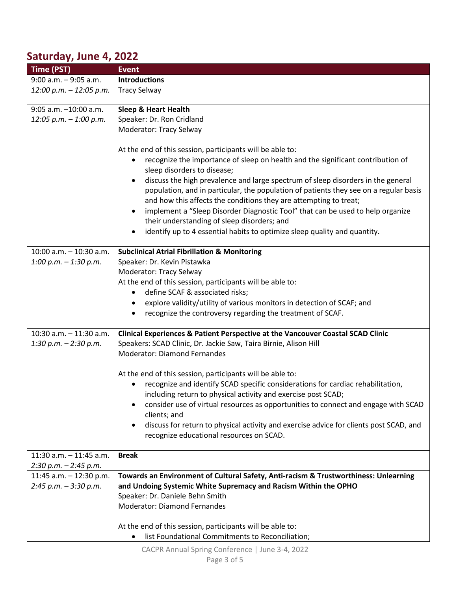# **Saturday, June 4, 2022**

| Time (PST)                 | <b>Event</b>                                                                                                                                                                           |
|----------------------------|----------------------------------------------------------------------------------------------------------------------------------------------------------------------------------------|
| $9:00$ a.m. $-9:05$ a.m.   | <b>Introductions</b>                                                                                                                                                                   |
| 12:00 p.m. - 12:05 p.m.    | <b>Tracy Selway</b>                                                                                                                                                                    |
|                            |                                                                                                                                                                                        |
| 9:05 a.m. -10:00 a.m.      | <b>Sleep &amp; Heart Health</b>                                                                                                                                                        |
| $12:05 p.m. - 1:00 p.m.$   | Speaker: Dr. Ron Cridland                                                                                                                                                              |
|                            | <b>Moderator: Tracy Selway</b>                                                                                                                                                         |
|                            | At the end of this session, participants will be able to:<br>recognize the importance of sleep on health and the significant contribution of                                           |
|                            | sleep disorders to disease;                                                                                                                                                            |
|                            | discuss the high prevalence and large spectrum of sleep disorders in the general<br>$\bullet$<br>population, and in particular, the population of patients they see on a regular basis |
|                            | and how this affects the conditions they are attempting to treat;                                                                                                                      |
|                            | implement a "Sleep Disorder Diagnostic Tool" that can be used to help organize                                                                                                         |
|                            | their understanding of sleep disorders; and                                                                                                                                            |
|                            | identify up to 4 essential habits to optimize sleep quality and quantity.                                                                                                              |
|                            |                                                                                                                                                                                        |
| 10:00 a.m. - 10:30 a.m.    | <b>Subclinical Atrial Fibrillation &amp; Monitoring</b>                                                                                                                                |
| 1:00 p.m. $-$ 1:30 p.m.    | Speaker: Dr. Kevin Pistawka                                                                                                                                                            |
|                            | Moderator: Tracy Selway                                                                                                                                                                |
|                            | At the end of this session, participants will be able to:                                                                                                                              |
|                            | define SCAF & associated risks;                                                                                                                                                        |
|                            | explore validity/utility of various monitors in detection of SCAF; and<br>$\bullet$                                                                                                    |
|                            | recognize the controversy regarding the treatment of SCAF.                                                                                                                             |
| 10:30 a.m. - 11:30 a.m.    | Clinical Experiences & Patient Perspective at the Vancouver Coastal SCAD Clinic                                                                                                        |
| 1:30 p.m. $-$ 2:30 p.m.    | Speakers: SCAD Clinic, Dr. Jackie Saw, Taira Birnie, Alison Hill                                                                                                                       |
|                            | <b>Moderator: Diamond Fernandes</b>                                                                                                                                                    |
|                            |                                                                                                                                                                                        |
|                            | At the end of this session, participants will be able to:                                                                                                                              |
|                            | recognize and identify SCAD specific considerations for cardiac rehabilitation,                                                                                                        |
|                            | including return to physical activity and exercise post SCAD;                                                                                                                          |
|                            | consider use of virtual resources as opportunities to connect and engage with SCAD<br>clients; and                                                                                     |
|                            | discuss for return to physical activity and exercise advice for clients post SCAD, and                                                                                                 |
|                            | recognize educational resources on SCAD.                                                                                                                                               |
| $11:30$ a.m. $-11:45$ a.m. | <b>Break</b>                                                                                                                                                                           |
| $2:30 p.m. - 2:45 p.m.$    |                                                                                                                                                                                        |
| 11:45 a.m. $-$ 12:30 p.m.  | Towards an Environment of Cultural Safety, Anti-racism & Trustworthiness: Unlearning                                                                                                   |
| $2:45 p.m. - 3:30 p.m.$    | and Undoing Systemic White Supremacy and Racism Within the OPHO                                                                                                                        |
|                            | Speaker: Dr. Daniele Behn Smith                                                                                                                                                        |
|                            | Moderator: Diamond Fernandes                                                                                                                                                           |
|                            |                                                                                                                                                                                        |
|                            | At the end of this session, participants will be able to:                                                                                                                              |
|                            | list Foundational Commitments to Reconciliation;                                                                                                                                       |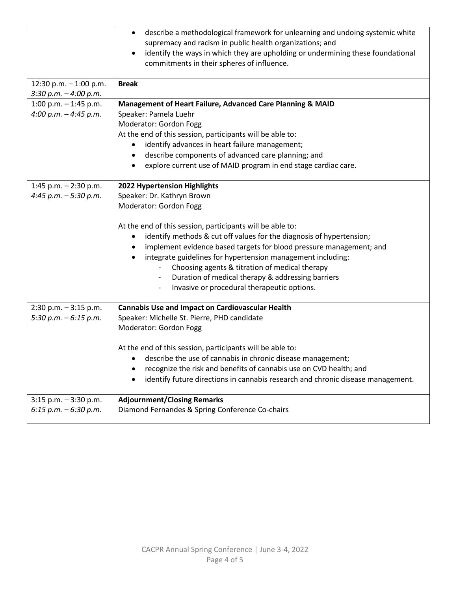|                          | describe a methodological framework for unlearning and undoing systemic white<br>$\bullet$<br>supremacy and racism in public health organizations; and<br>identify the ways in which they are upholding or undermining these foundational<br>$\bullet$<br>commitments in their spheres of influence. |
|--------------------------|------------------------------------------------------------------------------------------------------------------------------------------------------------------------------------------------------------------------------------------------------------------------------------------------------|
| 12:30 p.m. $-1:00$ p.m.  | <b>Break</b>                                                                                                                                                                                                                                                                                         |
| $3:30 p.m. - 4:00 p.m.$  |                                                                                                                                                                                                                                                                                                      |
| 1:00 p.m. $-$ 1:45 p.m.  | Management of Heart Failure, Advanced Care Planning & MAID                                                                                                                                                                                                                                           |
| 4:00 p.m. $-$ 4:45 p.m.  | Speaker: Pamela Luehr                                                                                                                                                                                                                                                                                |
|                          | Moderator: Gordon Fogg                                                                                                                                                                                                                                                                               |
|                          | At the end of this session, participants will be able to:                                                                                                                                                                                                                                            |
|                          | identify advances in heart failure management;                                                                                                                                                                                                                                                       |
|                          | describe components of advanced care planning; and                                                                                                                                                                                                                                                   |
|                          | explore current use of MAID program in end stage cardiac care.                                                                                                                                                                                                                                       |
|                          |                                                                                                                                                                                                                                                                                                      |
| 1:45 p.m. $-$ 2:30 p.m.  | 2022 Hypertension Highlights                                                                                                                                                                                                                                                                         |
| 4:45 p.m. - 5:30 p.m.    | Speaker: Dr. Kathryn Brown                                                                                                                                                                                                                                                                           |
|                          | Moderator: Gordon Fogg                                                                                                                                                                                                                                                                               |
|                          |                                                                                                                                                                                                                                                                                                      |
|                          | At the end of this session, participants will be able to:                                                                                                                                                                                                                                            |
|                          | identify methods & cut off values for the diagnosis of hypertension;                                                                                                                                                                                                                                 |
|                          | implement evidence based targets for blood pressure management; and                                                                                                                                                                                                                                  |
|                          | integrate guidelines for hypertension management including:                                                                                                                                                                                                                                          |
|                          | Choosing agents & titration of medical therapy                                                                                                                                                                                                                                                       |
|                          | Duration of medical therapy & addressing barriers                                                                                                                                                                                                                                                    |
|                          | Invasive or procedural therapeutic options.                                                                                                                                                                                                                                                          |
|                          |                                                                                                                                                                                                                                                                                                      |
| $2:30$ p.m. $-3:15$ p.m. | <b>Cannabis Use and Impact on Cardiovascular Health</b>                                                                                                                                                                                                                                              |
| 5:30 p.m. $-6:15$ p.m.   | Speaker: Michelle St. Pierre, PHD candidate                                                                                                                                                                                                                                                          |
|                          | Moderator: Gordon Fogg                                                                                                                                                                                                                                                                               |
|                          | At the end of this session, participants will be able to:                                                                                                                                                                                                                                            |
|                          | describe the use of cannabis in chronic disease management;                                                                                                                                                                                                                                          |
|                          | recognize the risk and benefits of cannabis use on CVD health; and                                                                                                                                                                                                                                   |
|                          | identify future directions in cannabis research and chronic disease management.                                                                                                                                                                                                                      |
|                          |                                                                                                                                                                                                                                                                                                      |
| $3:15$ p.m. $-3:30$ p.m. | <b>Adjournment/Closing Remarks</b>                                                                                                                                                                                                                                                                   |
| $6:15$ p.m. $-6:30$ p.m. | Diamond Fernandes & Spring Conference Co-chairs                                                                                                                                                                                                                                                      |
|                          |                                                                                                                                                                                                                                                                                                      |